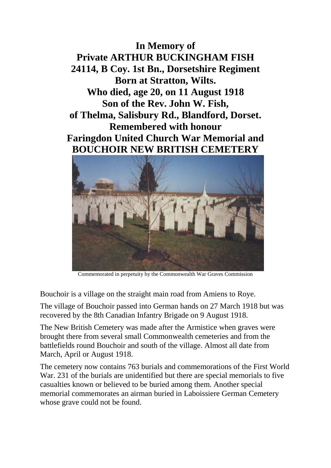**In Memory of Private ARTHUR BUCKINGHAM FISH 24114, B Coy. 1st Bn., Dorsetshire Regiment Born at Stratton, Wilts. Who died, age 20, on 11 August 1918 Son of the Rev. John W. Fish, of Thelma, Salisbury Rd., Blandford, Dorset. Remembered with honour Faringdon United Church War Memorial and BOUCHOIR NEW BRITISH CEMETERY**



Commemorated in perpetuity by the Commonwealth War Graves Commission

Bouchoir is a village on the straight main road from Amiens to Roye.

The village of Bouchoir passed into German hands on 27 March 1918 but was recovered by the 8th Canadian Infantry Brigade on 9 August 1918.

The New British Cemetery was made after the Armistice when graves were brought there from several small Commonwealth cemeteries and from the battlefields round Bouchoir and south of the village. Almost all date from March, April or August 1918.

The cemetery now contains 763 burials and commemorations of the First World War. 231 of the burials are unidentified but there are special memorials to five casualties known or believed to be buried among them. Another special memorial commemorates an airman buried in Laboissiere German Cemetery whose grave could not be found.